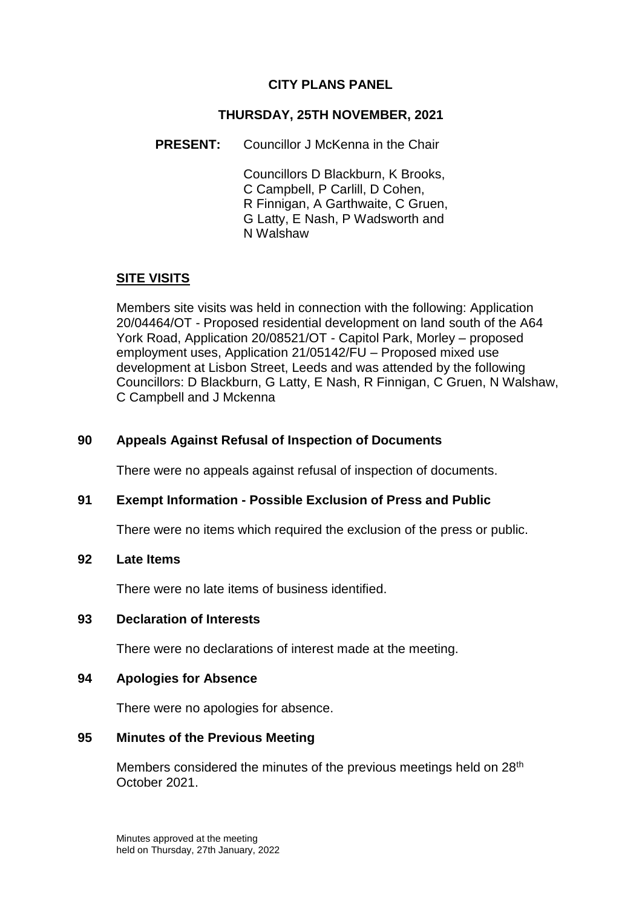## **CITY PLANS PANEL**

### **THURSDAY, 25TH NOVEMBER, 2021**

**PRESENT:** Councillor J McKenna in the Chair

Councillors D Blackburn, K Brooks, C Campbell, P Carlill, D Cohen, R Finnigan, A Garthwaite, C Gruen, G Latty, E Nash, P Wadsworth and N Walshaw

# **SITE VISITS**

Members site visits was held in connection with the following: Application 20/04464/OT - Proposed residential development on land south of the A64 York Road, Application 20/08521/OT - Capitol Park, Morley – proposed employment uses, Application 21/05142/FU – Proposed mixed use development at Lisbon Street, Leeds and was attended by the following Councillors: D Blackburn, G Latty, E Nash, R Finnigan, C Gruen, N Walshaw, C Campbell and J Mckenna

## **90 Appeals Against Refusal of Inspection of Documents**

There were no appeals against refusal of inspection of documents.

#### **91 Exempt Information - Possible Exclusion of Press and Public**

There were no items which required the exclusion of the press or public.

#### **92 Late Items**

There were no late items of business identified.

#### **93 Declaration of Interests**

There were no declarations of interest made at the meeting.

#### **94 Apologies for Absence**

There were no apologies for absence.

#### **95 Minutes of the Previous Meeting**

Members considered the minutes of the previous meetings held on  $28<sup>th</sup>$ October 2021.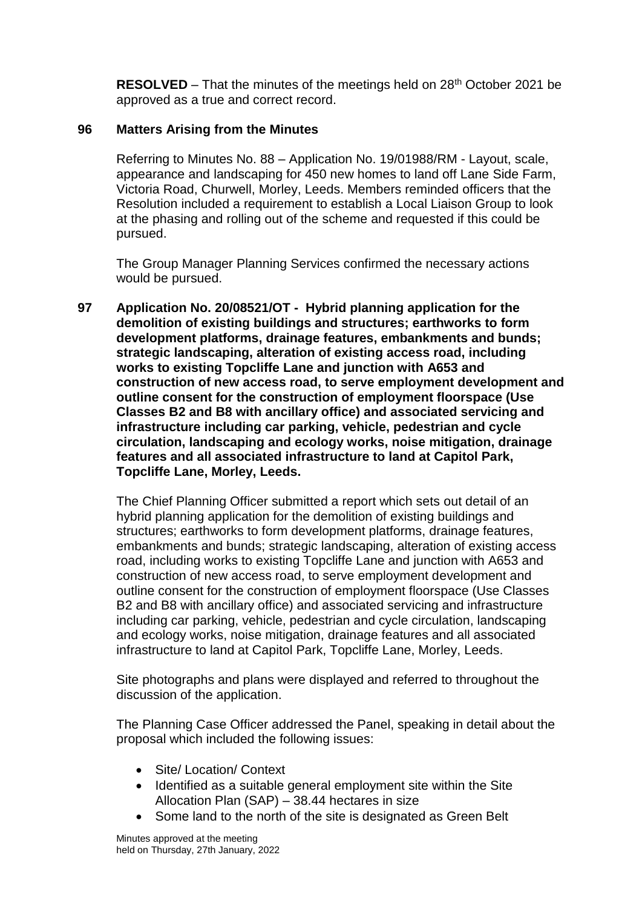**RESOLVED** – That the minutes of the meetings held on 28<sup>th</sup> October 2021 be approved as a true and correct record.

#### **96 Matters Arising from the Minutes**

Referring to Minutes No. 88 – Application No. 19/01988/RM - Layout, scale, appearance and landscaping for 450 new homes to land off Lane Side Farm, Victoria Road, Churwell, Morley, Leeds. Members reminded officers that the Resolution included a requirement to establish a Local Liaison Group to look at the phasing and rolling out of the scheme and requested if this could be pursued.

The Group Manager Planning Services confirmed the necessary actions would be pursued.

**97 Application No. 20/08521/OT - Hybrid planning application for the demolition of existing buildings and structures; earthworks to form development platforms, drainage features, embankments and bunds; strategic landscaping, alteration of existing access road, including works to existing Topcliffe Lane and junction with A653 and construction of new access road, to serve employment development and outline consent for the construction of employment floorspace (Use Classes B2 and B8 with ancillary office) and associated servicing and infrastructure including car parking, vehicle, pedestrian and cycle circulation, landscaping and ecology works, noise mitigation, drainage features and all associated infrastructure to land at Capitol Park, Topcliffe Lane, Morley, Leeds.**

The Chief Planning Officer submitted a report which sets out detail of an hybrid planning application for the demolition of existing buildings and structures; earthworks to form development platforms, drainage features, embankments and bunds; strategic landscaping, alteration of existing access road, including works to existing Topcliffe Lane and junction with A653 and construction of new access road, to serve employment development and outline consent for the construction of employment floorspace (Use Classes B2 and B8 with ancillary office) and associated servicing and infrastructure including car parking, vehicle, pedestrian and cycle circulation, landscaping and ecology works, noise mitigation, drainage features and all associated infrastructure to land at Capitol Park, Topcliffe Lane, Morley, Leeds.

Site photographs and plans were displayed and referred to throughout the discussion of the application.

The Planning Case Officer addressed the Panel, speaking in detail about the proposal which included the following issues:

- Site/ Location/ Context
- Identified as a suitable general employment site within the Site Allocation Plan (SAP) – 38.44 hectares in size
- Some land to the north of the site is designated as Green Belt

Minutes approved at the meeting held on Thursday, 27th January, 2022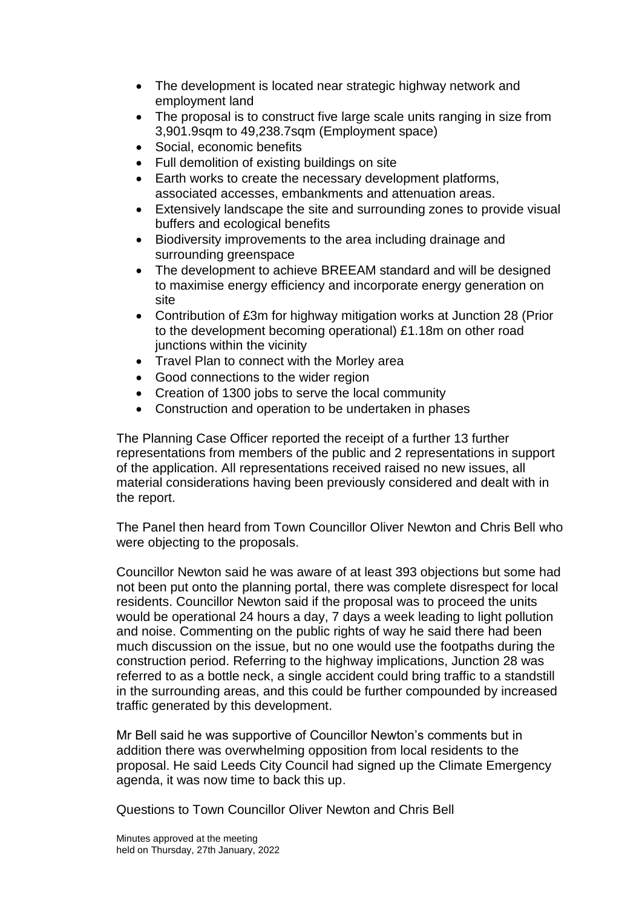- The development is located near strategic highway network and employment land
- The proposal is to construct five large scale units ranging in size from 3,901.9sqm to 49,238.7sqm (Employment space)
- Social, economic benefits
- Full demolition of existing buildings on site
- Earth works to create the necessary development platforms, associated accesses, embankments and attenuation areas.
- Extensively landscape the site and surrounding zones to provide visual buffers and ecological benefits
- Biodiversity improvements to the area including drainage and surrounding greenspace
- The development to achieve BREEAM standard and will be designed to maximise energy efficiency and incorporate energy generation on site
- Contribution of £3m for highway mitigation works at Junction 28 (Prior to the development becoming operational) £1.18m on other road junctions within the vicinity
- Travel Plan to connect with the Morley area
- Good connections to the wider region
- Creation of 1300 jobs to serve the local community
- Construction and operation to be undertaken in phases

The Planning Case Officer reported the receipt of a further 13 further representations from members of the public and 2 representations in support of the application. All representations received raised no new issues, all material considerations having been previously considered and dealt with in the report.

The Panel then heard from Town Councillor Oliver Newton and Chris Bell who were objecting to the proposals.

Councillor Newton said he was aware of at least 393 objections but some had not been put onto the planning portal, there was complete disrespect for local residents. Councillor Newton said if the proposal was to proceed the units would be operational 24 hours a day, 7 days a week leading to light pollution and noise. Commenting on the public rights of way he said there had been much discussion on the issue, but no one would use the footpaths during the construction period. Referring to the highway implications, Junction 28 was referred to as a bottle neck, a single accident could bring traffic to a standstill in the surrounding areas, and this could be further compounded by increased traffic generated by this development.

Mr Bell said he was supportive of Councillor Newton's comments but in addition there was overwhelming opposition from local residents to the proposal. He said Leeds City Council had signed up the Climate Emergency agenda, it was now time to back this up.

Questions to Town Councillor Oliver Newton and Chris Bell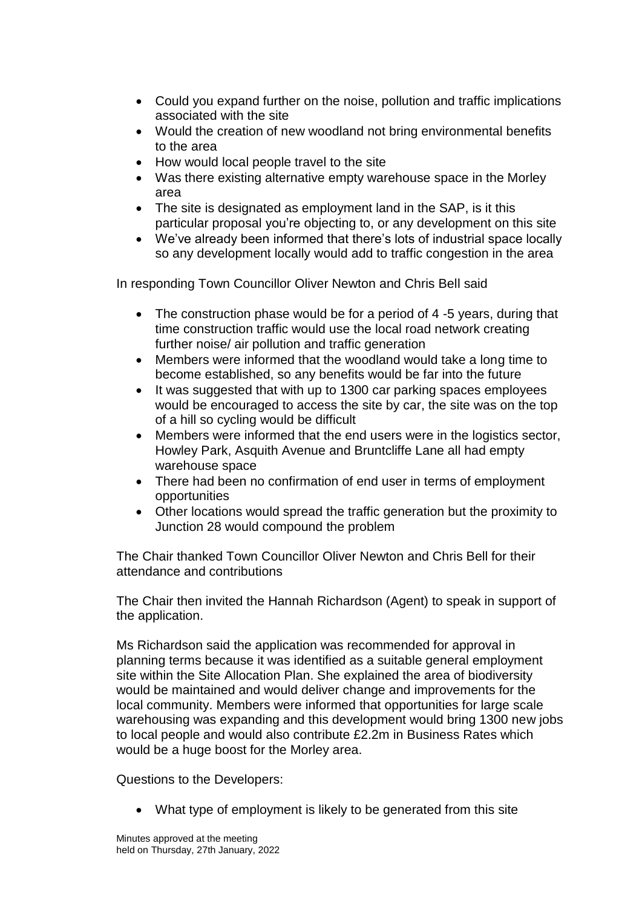- Could you expand further on the noise, pollution and traffic implications associated with the site
- Would the creation of new woodland not bring environmental benefits to the area
- How would local people travel to the site
- Was there existing alternative empty warehouse space in the Morley area
- The site is designated as employment land in the SAP, is it this particular proposal you're objecting to, or any development on this site
- We've already been informed that there's lots of industrial space locally so any development locally would add to traffic congestion in the area

In responding Town Councillor Oliver Newton and Chris Bell said

- The construction phase would be for a period of 4-5 years, during that time construction traffic would use the local road network creating further noise/ air pollution and traffic generation
- Members were informed that the woodland would take a long time to become established, so any benefits would be far into the future
- It was suggested that with up to 1300 car parking spaces employees would be encouraged to access the site by car, the site was on the top of a hill so cycling would be difficult
- Members were informed that the end users were in the logistics sector, Howley Park, Asquith Avenue and Bruntcliffe Lane all had empty warehouse space
- There had been no confirmation of end user in terms of employment opportunities
- Other locations would spread the traffic generation but the proximity to Junction 28 would compound the problem

The Chair thanked Town Councillor Oliver Newton and Chris Bell for their attendance and contributions

The Chair then invited the Hannah Richardson (Agent) to speak in support of the application.

Ms Richardson said the application was recommended for approval in planning terms because it was identified as a suitable general employment site within the Site Allocation Plan. She explained the area of biodiversity would be maintained and would deliver change and improvements for the local community. Members were informed that opportunities for large scale warehousing was expanding and this development would bring 1300 new jobs to local people and would also contribute £2.2m in Business Rates which would be a huge boost for the Morley area.

Questions to the Developers:

What type of employment is likely to be generated from this site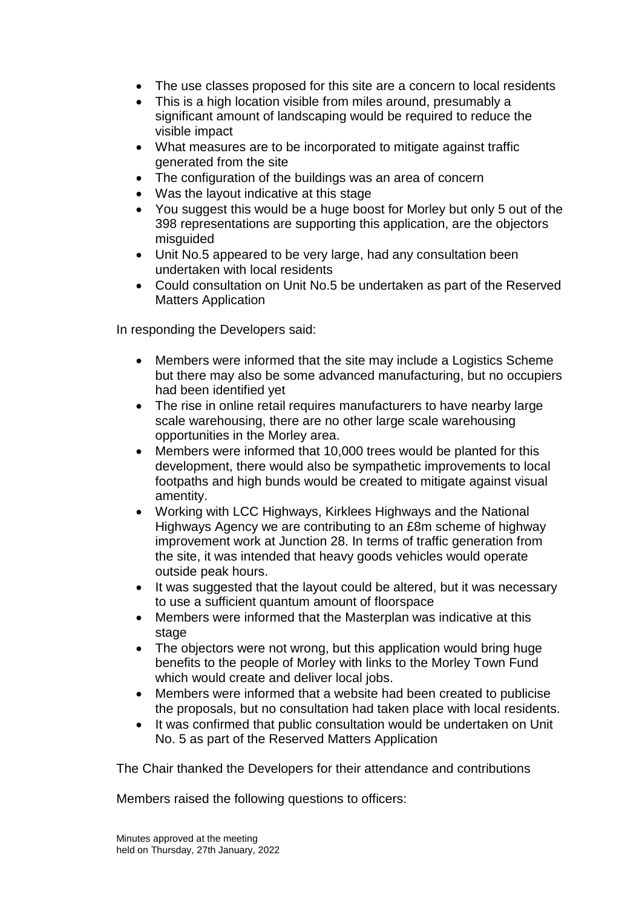- The use classes proposed for this site are a concern to local residents
- This is a high location visible from miles around, presumably a significant amount of landscaping would be required to reduce the visible impact
- What measures are to be incorporated to mitigate against traffic generated from the site
- The configuration of the buildings was an area of concern
- Was the layout indicative at this stage
- You suggest this would be a huge boost for Morley but only 5 out of the 398 representations are supporting this application, are the objectors misguided
- Unit No.5 appeared to be very large, had any consultation been undertaken with local residents
- Could consultation on Unit No.5 be undertaken as part of the Reserved Matters Application

In responding the Developers said:

- Members were informed that the site may include a Logistics Scheme but there may also be some advanced manufacturing, but no occupiers had been identified yet
- The rise in online retail requires manufacturers to have nearby large scale warehousing, there are no other large scale warehousing opportunities in the Morley area.
- Members were informed that 10,000 trees would be planted for this development, there would also be sympathetic improvements to local footpaths and high bunds would be created to mitigate against visual amentity.
- Working with LCC Highways, Kirklees Highways and the National Highways Agency we are contributing to an £8m scheme of highway improvement work at Junction 28. In terms of traffic generation from the site, it was intended that heavy goods vehicles would operate outside peak hours.
- It was suggested that the layout could be altered, but it was necessary to use a sufficient quantum amount of floorspace
- Members were informed that the Masterplan was indicative at this stage
- The objectors were not wrong, but this application would bring huge benefits to the people of Morley with links to the Morley Town Fund which would create and deliver local jobs.
- Members were informed that a website had been created to publicise the proposals, but no consultation had taken place with local residents.
- It was confirmed that public consultation would be undertaken on Unit No. 5 as part of the Reserved Matters Application

The Chair thanked the Developers for their attendance and contributions

Members raised the following questions to officers: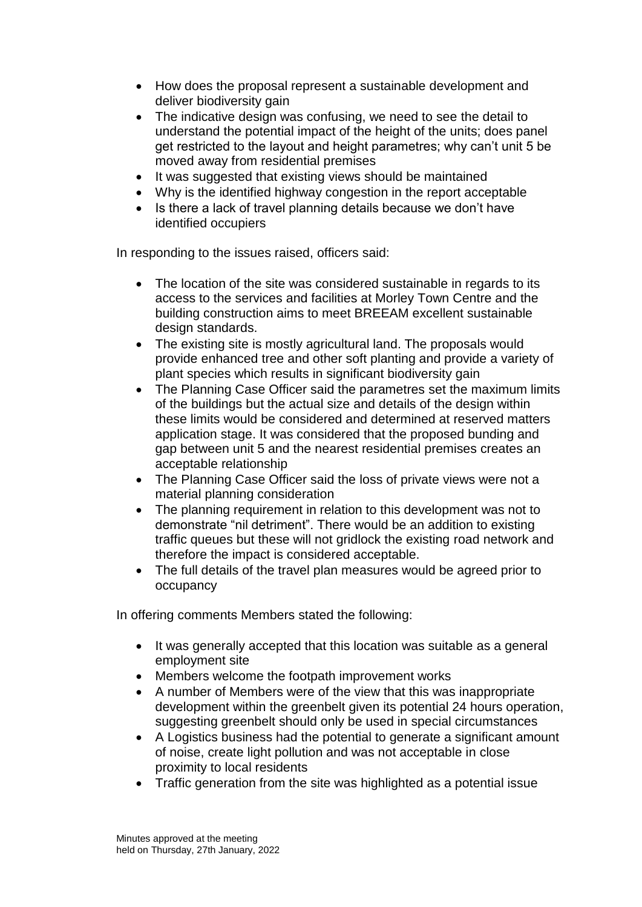- How does the proposal represent a sustainable development and deliver biodiversity gain
- The indicative design was confusing, we need to see the detail to understand the potential impact of the height of the units; does panel get restricted to the layout and height parametres; why can't unit 5 be moved away from residential premises
- It was suggested that existing views should be maintained
- Why is the identified highway congestion in the report acceptable
- Is there a lack of travel planning details because we don't have identified occupiers

In responding to the issues raised, officers said:

- The location of the site was considered sustainable in regards to its access to the services and facilities at Morley Town Centre and the building construction aims to meet BREEAM excellent sustainable design standards.
- The existing site is mostly agricultural land. The proposals would provide enhanced tree and other soft planting and provide a variety of plant species which results in significant biodiversity gain
- The Planning Case Officer said the parametres set the maximum limits of the buildings but the actual size and details of the design within these limits would be considered and determined at reserved matters application stage. It was considered that the proposed bunding and gap between unit 5 and the nearest residential premises creates an acceptable relationship
- The Planning Case Officer said the loss of private views were not a material planning consideration
- The planning requirement in relation to this development was not to demonstrate "nil detriment". There would be an addition to existing traffic queues but these will not gridlock the existing road network and therefore the impact is considered acceptable.
- The full details of the travel plan measures would be agreed prior to occupancy

In offering comments Members stated the following:

- It was generally accepted that this location was suitable as a general employment site
- Members welcome the footpath improvement works
- A number of Members were of the view that this was inappropriate development within the greenbelt given its potential 24 hours operation, suggesting greenbelt should only be used in special circumstances
- A Logistics business had the potential to generate a significant amount of noise, create light pollution and was not acceptable in close proximity to local residents
- Traffic generation from the site was highlighted as a potential issue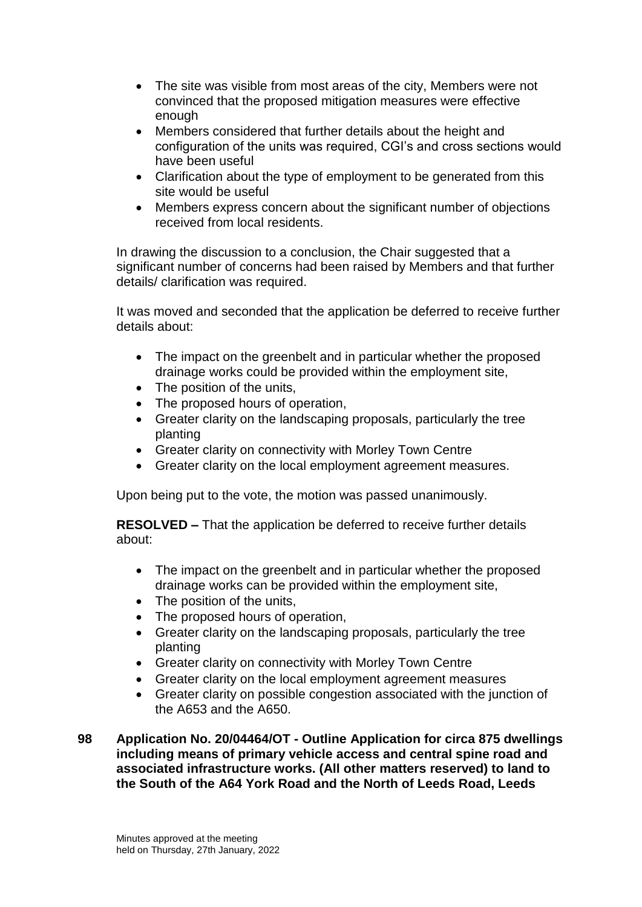- The site was visible from most areas of the city, Members were not convinced that the proposed mitigation measures were effective enough
- Members considered that further details about the height and configuration of the units was required, CGI's and cross sections would have been useful
- Clarification about the type of employment to be generated from this site would be useful
- Members express concern about the significant number of objections received from local residents.

In drawing the discussion to a conclusion, the Chair suggested that a significant number of concerns had been raised by Members and that further details/ clarification was required.

It was moved and seconded that the application be deferred to receive further details about:

- The impact on the greenbelt and in particular whether the proposed drainage works could be provided within the employment site,
- The position of the units,
- The proposed hours of operation,
- Greater clarity on the landscaping proposals, particularly the tree planting
- Greater clarity on connectivity with Morley Town Centre
- Greater clarity on the local employment agreement measures.

Upon being put to the vote, the motion was passed unanimously.

**RESOLVED –** That the application be deferred to receive further details about:

- The impact on the greenbelt and in particular whether the proposed drainage works can be provided within the employment site,
- The position of the units,
- The proposed hours of operation,
- Greater clarity on the landscaping proposals, particularly the tree planting
- Greater clarity on connectivity with Morley Town Centre
- Greater clarity on the local employment agreement measures
- Greater clarity on possible congestion associated with the junction of the A653 and the A650.

**98 Application No. 20/04464/OT - Outline Application for circa 875 dwellings including means of primary vehicle access and central spine road and associated infrastructure works. (All other matters reserved) to land to the South of the A64 York Road and the North of Leeds Road, Leeds**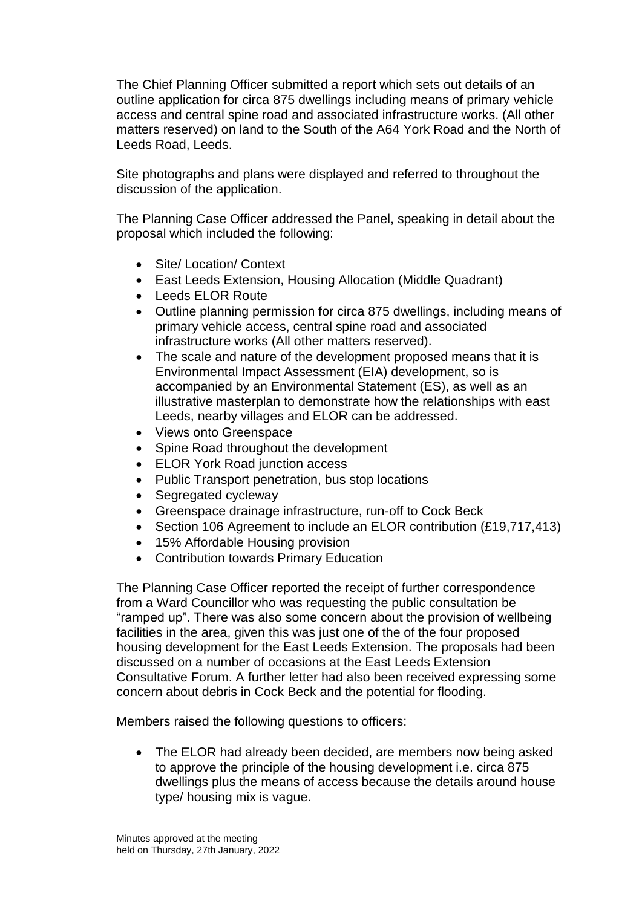The Chief Planning Officer submitted a report which sets out details of an outline application for circa 875 dwellings including means of primary vehicle access and central spine road and associated infrastructure works. (All other matters reserved) on land to the South of the A64 York Road and the North of Leeds Road, Leeds.

Site photographs and plans were displayed and referred to throughout the discussion of the application.

The Planning Case Officer addressed the Panel, speaking in detail about the proposal which included the following:

- Site/ Location/ Context
- East Leeds Extension, Housing Allocation (Middle Quadrant)
- Leeds ELOR Route
- Outline planning permission for circa 875 dwellings, including means of primary vehicle access, central spine road and associated infrastructure works (All other matters reserved).
- The scale and nature of the development proposed means that it is Environmental Impact Assessment (EIA) development, so is accompanied by an Environmental Statement (ES), as well as an illustrative masterplan to demonstrate how the relationships with east Leeds, nearby villages and ELOR can be addressed.
- Views onto Greenspace
- Spine Road throughout the development
- ELOR York Road junction access
- Public Transport penetration, bus stop locations
- Segregated cycleway
- Greenspace drainage infrastructure, run-off to Cock Beck
- Section 106 Agreement to include an ELOR contribution (£19,717,413)
- 15% Affordable Housing provision
- Contribution towards Primary Education

The Planning Case Officer reported the receipt of further correspondence from a Ward Councillor who was requesting the public consultation be "ramped up". There was also some concern about the provision of wellbeing facilities in the area, given this was just one of the of the four proposed housing development for the East Leeds Extension. The proposals had been discussed on a number of occasions at the East Leeds Extension Consultative Forum. A further letter had also been received expressing some concern about debris in Cock Beck and the potential for flooding.

Members raised the following questions to officers:

• The ELOR had already been decided, are members now being asked to approve the principle of the housing development i.e. circa 875 dwellings plus the means of access because the details around house type/ housing mix is vague.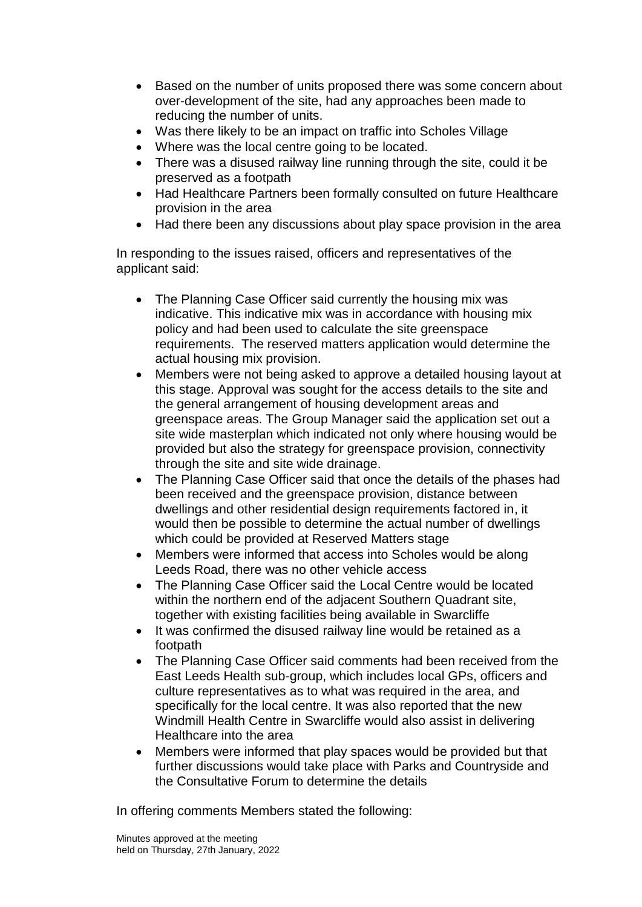- Based on the number of units proposed there was some concern about over-development of the site, had any approaches been made to reducing the number of units.
- Was there likely to be an impact on traffic into Scholes Village
- Where was the local centre going to be located.
- There was a disused railway line running through the site, could it be preserved as a footpath
- Had Healthcare Partners been formally consulted on future Healthcare provision in the area
- Had there been any discussions about play space provision in the area

In responding to the issues raised, officers and representatives of the applicant said:

- The Planning Case Officer said currently the housing mix was indicative. This indicative mix was in accordance with housing mix policy and had been used to calculate the site greenspace requirements. The reserved matters application would determine the actual housing mix provision.
- Members were not being asked to approve a detailed housing layout at this stage. Approval was sought for the access details to the site and the general arrangement of housing development areas and greenspace areas. The Group Manager said the application set out a site wide masterplan which indicated not only where housing would be provided but also the strategy for greenspace provision, connectivity through the site and site wide drainage.
- The Planning Case Officer said that once the details of the phases had been received and the greenspace provision, distance between dwellings and other residential design requirements factored in, it would then be possible to determine the actual number of dwellings which could be provided at Reserved Matters stage
- Members were informed that access into Scholes would be along Leeds Road, there was no other vehicle access
- The Planning Case Officer said the Local Centre would be located within the northern end of the adjacent Southern Quadrant site, together with existing facilities being available in Swarcliffe
- It was confirmed the disused railway line would be retained as a footpath
- The Planning Case Officer said comments had been received from the East Leeds Health sub-group, which includes local GPs, officers and culture representatives as to what was required in the area, and specifically for the local centre. It was also reported that the new Windmill Health Centre in Swarcliffe would also assist in delivering Healthcare into the area
- Members were informed that play spaces would be provided but that further discussions would take place with Parks and Countryside and the Consultative Forum to determine the details

In offering comments Members stated the following: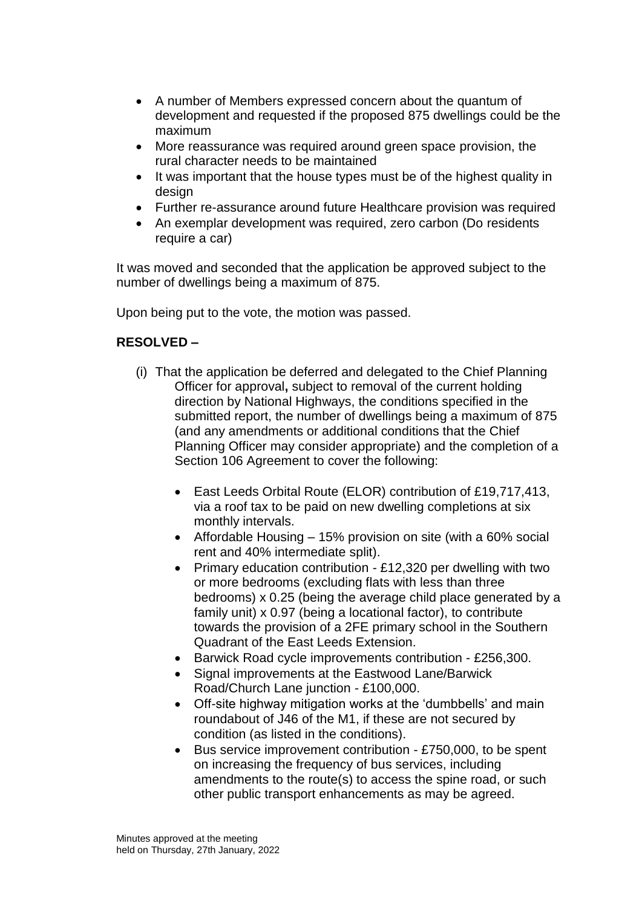- A number of Members expressed concern about the quantum of development and requested if the proposed 875 dwellings could be the maximum
- More reassurance was required around green space provision, the rural character needs to be maintained
- It was important that the house types must be of the highest quality in design
- Further re-assurance around future Healthcare provision was required
- An exemplar development was required, zero carbon (Do residents require a car)

It was moved and seconded that the application be approved subject to the number of dwellings being a maximum of 875.

Upon being put to the vote, the motion was passed.

# **RESOLVED –**

- (i) That the application be deferred and delegated to the Chief Planning Officer for approval**,** subject to removal of the current holding direction by National Highways, the conditions specified in the submitted report, the number of dwellings being a maximum of 875 (and any amendments or additional conditions that the Chief Planning Officer may consider appropriate) and the completion of a Section 106 Agreement to cover the following:
	- East Leeds Orbital Route (ELOR) contribution of £19,717,413, via a roof tax to be paid on new dwelling completions at six monthly intervals.
	- Affordable Housing 15% provision on site (with a 60% social rent and 40% intermediate split).
	- Primary education contribution £12,320 per dwelling with two or more bedrooms (excluding flats with less than three bedrooms) x 0.25 (being the average child place generated by a family unit) x 0.97 (being a locational factor), to contribute towards the provision of a 2FE primary school in the Southern Quadrant of the East Leeds Extension.
	- Barwick Road cycle improvements contribution £256,300.
	- Signal improvements at the Eastwood Lane/Barwick Road/Church Lane junction - £100,000.
	- Off-site highway mitigation works at the 'dumbbells' and main roundabout of J46 of the M1, if these are not secured by condition (as listed in the conditions).
	- Bus service improvement contribution £750,000, to be spent on increasing the frequency of bus services, including amendments to the route(s) to access the spine road, or such other public transport enhancements as may be agreed.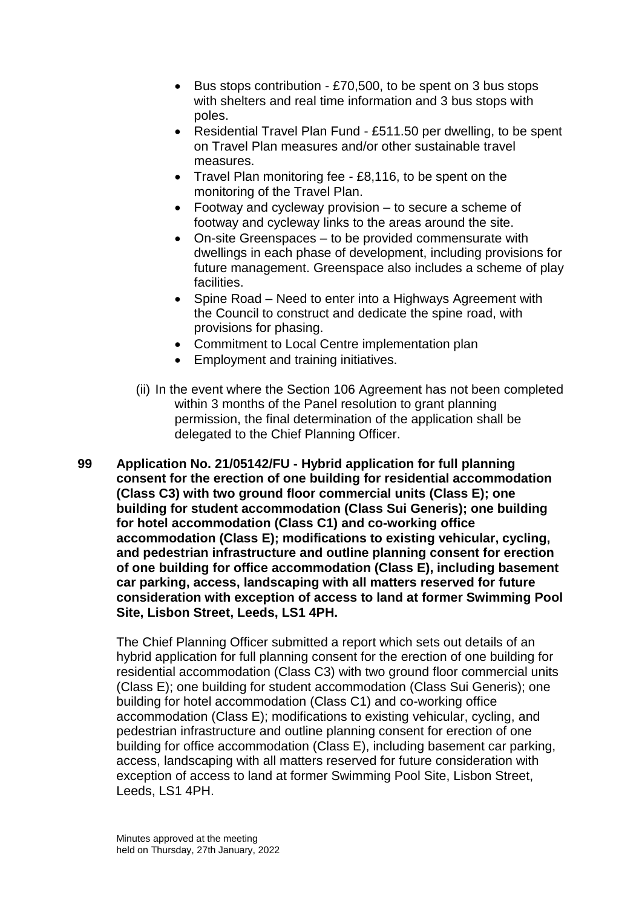- $\bullet$  Bus stops contribution £70,500, to be spent on 3 bus stops with shelters and real time information and 3 bus stops with poles.
- Residential Travel Plan Fund £511.50 per dwelling, to be spent on Travel Plan measures and/or other sustainable travel measures.
- Travel Plan monitoring fee £8,116, to be spent on the monitoring of the Travel Plan.
- Footway and cycleway provision to secure a scheme of footway and cycleway links to the areas around the site.
- On-site Greenspaces to be provided commensurate with dwellings in each phase of development, including provisions for future management. Greenspace also includes a scheme of play facilities.
- Spine Road Need to enter into a Highways Agreement with the Council to construct and dedicate the spine road, with provisions for phasing.
- Commitment to Local Centre implementation plan
- **Employment and training initiatives.**
- (ii) In the event where the Section 106 Agreement has not been completed within 3 months of the Panel resolution to grant planning permission, the final determination of the application shall be delegated to the Chief Planning Officer.
- **99 Application No. 21/05142/FU - Hybrid application for full planning consent for the erection of one building for residential accommodation (Class C3) with two ground floor commercial units (Class E); one building for student accommodation (Class Sui Generis); one building for hotel accommodation (Class C1) and co-working office accommodation (Class E); modifications to existing vehicular, cycling, and pedestrian infrastructure and outline planning consent for erection of one building for office accommodation (Class E), including basement car parking, access, landscaping with all matters reserved for future consideration with exception of access to land at former Swimming Pool Site, Lisbon Street, Leeds, LS1 4PH.**

The Chief Planning Officer submitted a report which sets out details of an hybrid application for full planning consent for the erection of one building for residential accommodation (Class C3) with two ground floor commercial units (Class E); one building for student accommodation (Class Sui Generis); one building for hotel accommodation (Class C1) and co-working office accommodation (Class E); modifications to existing vehicular, cycling, and pedestrian infrastructure and outline planning consent for erection of one building for office accommodation (Class E), including basement car parking, access, landscaping with all matters reserved for future consideration with exception of access to land at former Swimming Pool Site, Lisbon Street, Leeds, LS1 4PH.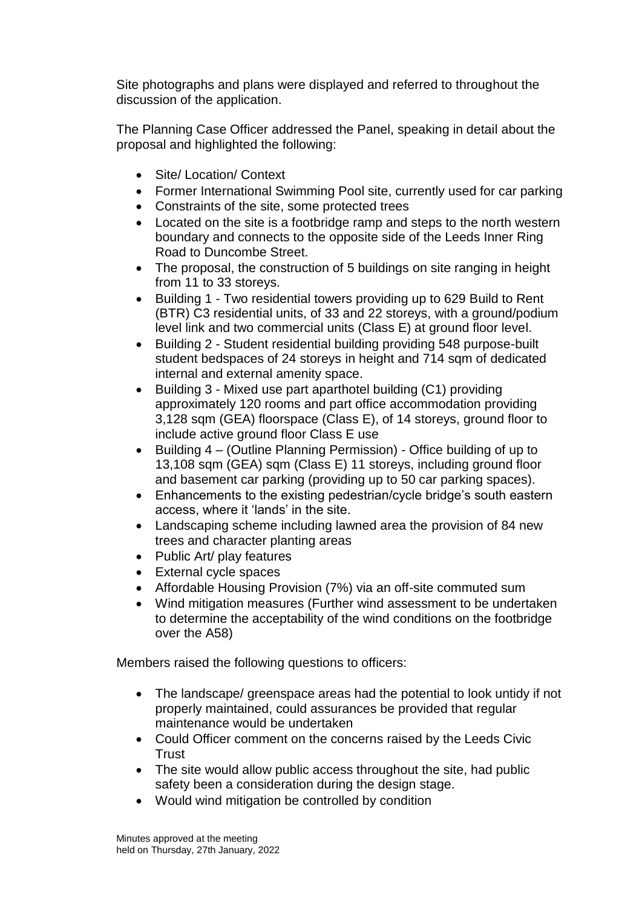Site photographs and plans were displayed and referred to throughout the discussion of the application.

The Planning Case Officer addressed the Panel, speaking in detail about the proposal and highlighted the following:

- Site/ Location/ Context
- Former International Swimming Pool site, currently used for car parking
- Constraints of the site, some protected trees
- Located on the site is a footbridge ramp and steps to the north western boundary and connects to the opposite side of the Leeds Inner Ring Road to Duncombe Street.
- The proposal, the construction of 5 buildings on site ranging in height from 11 to 33 storeys.
- Building 1 Two residential towers providing up to 629 Build to Rent (BTR) C3 residential units, of 33 and 22 storeys, with a ground/podium level link and two commercial units (Class E) at ground floor level.
- Building 2 Student residential building providing 548 purpose-built student bedspaces of 24 storeys in height and 714 sqm of dedicated internal and external amenity space.
- Building 3 Mixed use part aparthotel building (C1) providing approximately 120 rooms and part office accommodation providing 3,128 sqm (GEA) floorspace (Class E), of 14 storeys, ground floor to include active ground floor Class E use
- Building 4 (Outline Planning Permission) Office building of up to 13,108 sqm (GEA) sqm (Class E) 11 storeys, including ground floor and basement car parking (providing up to 50 car parking spaces).
- Enhancements to the existing pedestrian/cycle bridge's south eastern access, where it 'lands' in the site.
- Landscaping scheme including lawned area the provision of 84 new trees and character planting areas
- Public Art/ play features
- External cycle spaces
- Affordable Housing Provision (7%) via an off-site commuted sum
- Wind mitigation measures (Further wind assessment to be undertaken to determine the acceptability of the wind conditions on the footbridge over the A58)

Members raised the following questions to officers:

- The landscape/ greenspace areas had the potential to look untidy if not properly maintained, could assurances be provided that regular maintenance would be undertaken
- Could Officer comment on the concerns raised by the Leeds Civic **Trust**
- The site would allow public access throughout the site, had public safety been a consideration during the design stage.
- Would wind mitigation be controlled by condition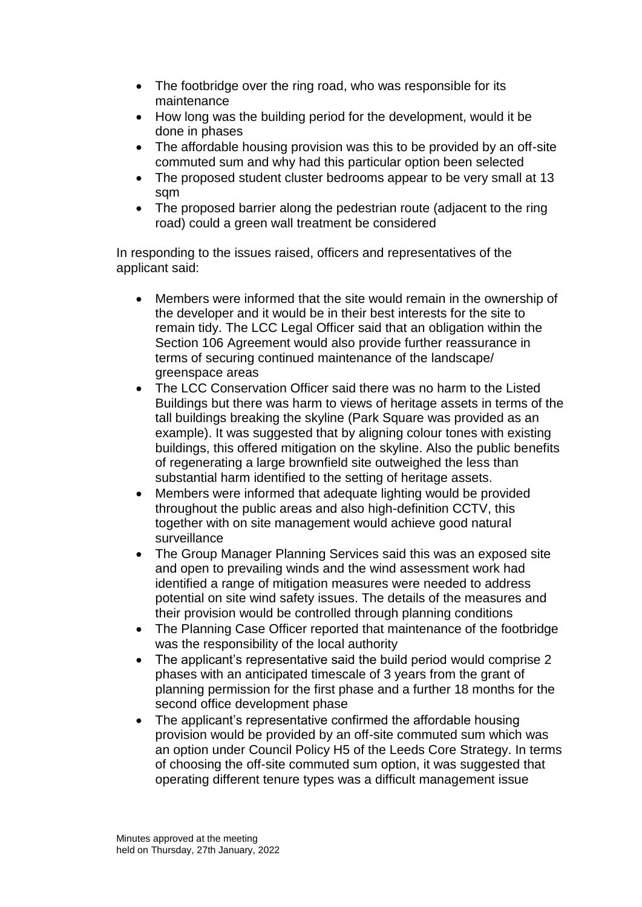- The footbridge over the ring road, who was responsible for its maintenance
- How long was the building period for the development, would it be done in phases
- The affordable housing provision was this to be provided by an off-site commuted sum and why had this particular option been selected
- The proposed student cluster bedrooms appear to be very small at 13 sqm
- The proposed barrier along the pedestrian route (adjacent to the ring road) could a green wall treatment be considered

In responding to the issues raised, officers and representatives of the applicant said:

- Members were informed that the site would remain in the ownership of the developer and it would be in their best interests for the site to remain tidy. The LCC Legal Officer said that an obligation within the Section 106 Agreement would also provide further reassurance in terms of securing continued maintenance of the landscape/ greenspace areas
- The LCC Conservation Officer said there was no harm to the Listed Buildings but there was harm to views of heritage assets in terms of the tall buildings breaking the skyline (Park Square was provided as an example). It was suggested that by aligning colour tones with existing buildings, this offered mitigation on the skyline. Also the public benefits of regenerating a large brownfield site outweighed the less than substantial harm identified to the setting of heritage assets.
- Members were informed that adequate lighting would be provided throughout the public areas and also high-definition CCTV, this together with on site management would achieve good natural surveillance
- The Group Manager Planning Services said this was an exposed site and open to prevailing winds and the wind assessment work had identified a range of mitigation measures were needed to address potential on site wind safety issues. The details of the measures and their provision would be controlled through planning conditions
- The Planning Case Officer reported that maintenance of the footbridge was the responsibility of the local authority
- The applicant's representative said the build period would comprise 2 phases with an anticipated timescale of 3 years from the grant of planning permission for the first phase and a further 18 months for the second office development phase
- The applicant's representative confirmed the affordable housing provision would be provided by an off-site commuted sum which was an option under Council Policy H5 of the Leeds Core Strategy. In terms of choosing the off-site commuted sum option, it was suggested that operating different tenure types was a difficult management issue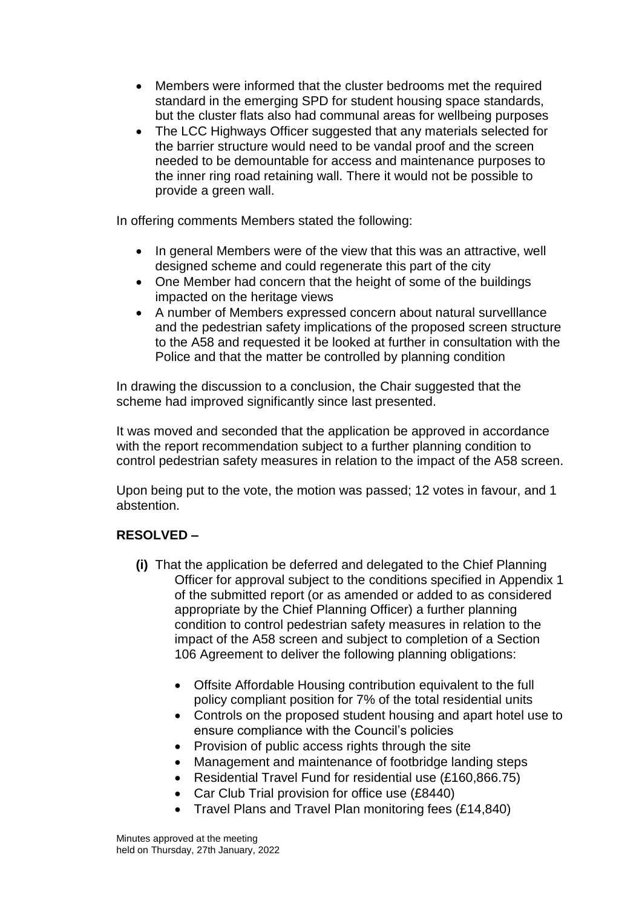- Members were informed that the cluster bedrooms met the required standard in the emerging SPD for student housing space standards, but the cluster flats also had communal areas for wellbeing purposes
- The LCC Highways Officer suggested that any materials selected for the barrier structure would need to be vandal proof and the screen needed to be demountable for access and maintenance purposes to the inner ring road retaining wall. There it would not be possible to provide a green wall.

In offering comments Members stated the following:

- In general Members were of the view that this was an attractive, well designed scheme and could regenerate this part of the city
- One Member had concern that the height of some of the buildings impacted on the heritage views
- A number of Members expressed concern about natural survelllance and the pedestrian safety implications of the proposed screen structure to the A58 and requested it be looked at further in consultation with the Police and that the matter be controlled by planning condition

In drawing the discussion to a conclusion, the Chair suggested that the scheme had improved significantly since last presented.

It was moved and seconded that the application be approved in accordance with the report recommendation subject to a further planning condition to control pedestrian safety measures in relation to the impact of the A58 screen.

Upon being put to the vote, the motion was passed; 12 votes in favour, and 1 abstention.

# **RESOLVED –**

- **(i)** That the application be deferred and delegated to the Chief Planning Officer for approval subject to the conditions specified in Appendix 1 of the submitted report (or as amended or added to as considered appropriate by the Chief Planning Officer) a further planning condition to control pedestrian safety measures in relation to the impact of the A58 screen and subject to completion of a Section 106 Agreement to deliver the following planning obligations:
	- Offsite Affordable Housing contribution equivalent to the full policy compliant position for 7% of the total residential units
	- Controls on the proposed student housing and apart hotel use to ensure compliance with the Council's policies
	- Provision of public access rights through the site
	- Management and maintenance of footbridge landing steps
	- Residential Travel Fund for residential use (£160,866.75)
	- Car Club Trial provision for office use (£8440)
	- Travel Plans and Travel Plan monitoring fees (£14,840)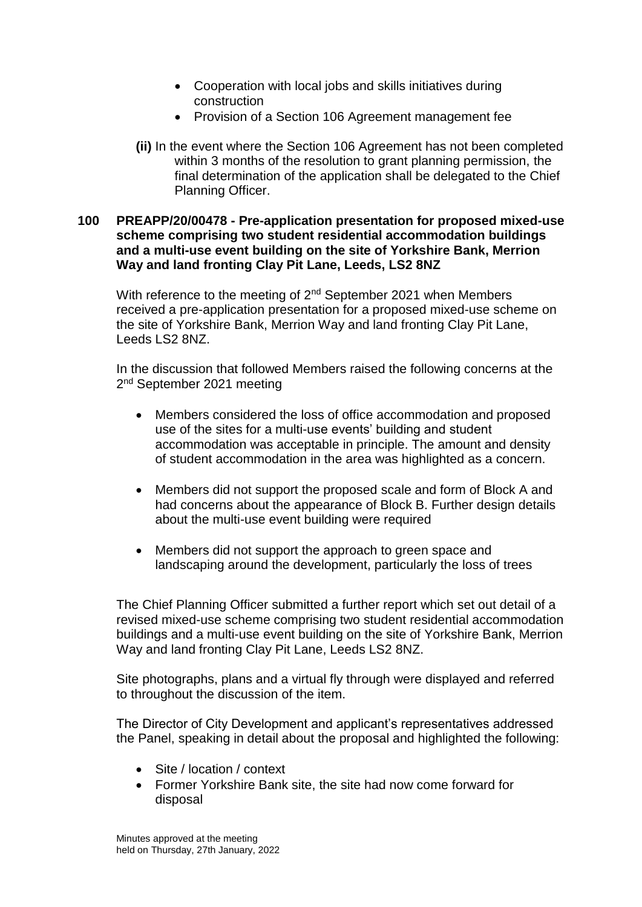- Cooperation with local jobs and skills initiatives during construction
- Provision of a Section 106 Agreement management fee
- **(ii)** In the event where the Section 106 Agreement has not been completed within 3 months of the resolution to grant planning permission, the final determination of the application shall be delegated to the Chief Planning Officer.

#### **100 PREAPP/20/00478 - Pre-application presentation for proposed mixed-use scheme comprising two student residential accommodation buildings and a multi-use event building on the site of Yorkshire Bank, Merrion Way and land fronting Clay Pit Lane, Leeds, LS2 8NZ**

With reference to the meeting of 2<sup>nd</sup> September 2021 when Members received a pre-application presentation for a proposed mixed-use scheme on the site of Yorkshire Bank, Merrion Way and land fronting Clay Pit Lane, Leeds LS2 8NZ.

In the discussion that followed Members raised the following concerns at the 2<sup>nd</sup> September 2021 meeting

- Members considered the loss of office accommodation and proposed use of the sites for a multi-use events' building and student accommodation was acceptable in principle. The amount and density of student accommodation in the area was highlighted as a concern.
- Members did not support the proposed scale and form of Block A and had concerns about the appearance of Block B. Further design details about the multi-use event building were required
- Members did not support the approach to green space and landscaping around the development, particularly the loss of trees

The Chief Planning Officer submitted a further report which set out detail of a revised mixed-use scheme comprising two student residential accommodation buildings and a multi-use event building on the site of Yorkshire Bank, Merrion Way and land fronting Clay Pit Lane, Leeds LS2 8NZ.

Site photographs, plans and a virtual fly through were displayed and referred to throughout the discussion of the item.

The Director of City Development and applicant's representatives addressed the Panel, speaking in detail about the proposal and highlighted the following:

- Site / location / context
- Former Yorkshire Bank site, the site had now come forward for disposal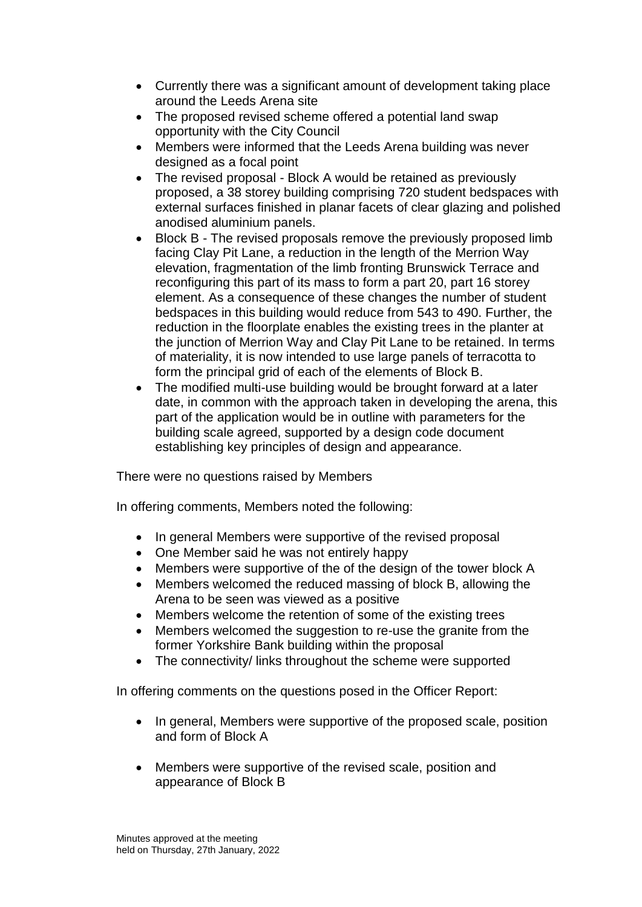- Currently there was a significant amount of development taking place around the Leeds Arena site
- The proposed revised scheme offered a potential land swap opportunity with the City Council
- Members were informed that the Leeds Arena building was never designed as a focal point
- The revised proposal Block A would be retained as previously proposed, a 38 storey building comprising 720 student bedspaces with external surfaces finished in planar facets of clear glazing and polished anodised aluminium panels.
- Block B The revised proposals remove the previously proposed limb facing Clay Pit Lane, a reduction in the length of the Merrion Way elevation, fragmentation of the limb fronting Brunswick Terrace and reconfiguring this part of its mass to form a part 20, part 16 storey element. As a consequence of these changes the number of student bedspaces in this building would reduce from 543 to 490. Further, the reduction in the floorplate enables the existing trees in the planter at the junction of Merrion Way and Clay Pit Lane to be retained. In terms of materiality, it is now intended to use large panels of terracotta to form the principal grid of each of the elements of Block B.
- The modified multi-use building would be brought forward at a later date, in common with the approach taken in developing the arena, this part of the application would be in outline with parameters for the building scale agreed, supported by a design code document establishing key principles of design and appearance.

There were no questions raised by Members

In offering comments, Members noted the following:

- In general Members were supportive of the revised proposal
- One Member said he was not entirely happy
- Members were supportive of the of the design of the tower block A
- Members welcomed the reduced massing of block B, allowing the Arena to be seen was viewed as a positive
- Members welcome the retention of some of the existing trees
- Members welcomed the suggestion to re-use the granite from the former Yorkshire Bank building within the proposal
- The connectivity/ links throughout the scheme were supported

In offering comments on the questions posed in the Officer Report:

- In general, Members were supportive of the proposed scale, position and form of Block A
- Members were supportive of the revised scale, position and appearance of Block B